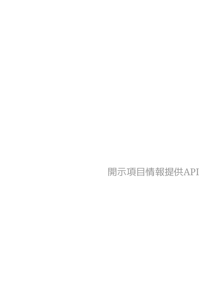# 開示項目情報提供API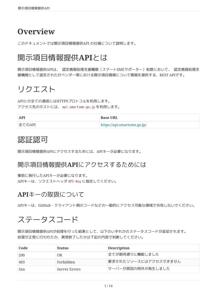## **Overview**

このドキュメントでは開示項目情報提供API の仕様について説明します。

## 開示項目情報提供**API**とは

開示項目情報提供APIは、 認定情報処理支援機関(スマートSMEサポーター)制度において、 認定情報処理支 援機関として認定されたITベンダー等における開示項目情報について情報を提供する、REST APIです。

## リクエスト

APIとの全ての通信にはHTTPSプロトコルを利用します。 アクセス先のホストには、 api.smartsme.go.jp を利用します。

| <b>API</b> | <b>Base URL</b>             |
|------------|-----------------------------|
| 全てのAPI     | https://api.smartsme.go.jp/ |

## 認証認可

開示項目情報提供APIにアクセスするためには、APIキーが必要になります。

### 開示項目情報提供**API**にアクセスするためには

事前に発行したAPIキーが必要になります。 APIキーは、リクエストヘッダ API-Key に指定してください。

### **API**キーの取扱について

APIキーは、GitHub・クライアント側のコードなどの一般的にアクセス可能な領域で共有しないでください。

## ステータスコード

開示項目情報提供APIが処理を行った結果として、以下のいずれかのステータスコードが返却されます。 処理が正常に行われたか、異常終了したかは下記の内容で判断してください。

| Code | <b>Status</b> | <b>Description</b>   |
|------|---------------|----------------------|
| 200  | OΚ            | 全てが期待通りに機能しました       |
| 403  | Forbidden     | 要求されたリソースにはアクセスできません |
| 5xx  | Server Errors | サーバーが原因の例外が発生しました    |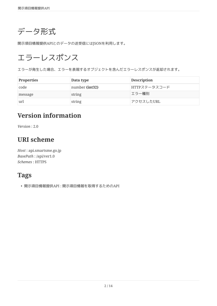データ形式

開示項目情報提供APIとのデータの送受信にはJSONを利用します。

# エラーレスポンス

エラーが発生した場合、エラーを表現するオブジェクトを含んだエラーレスポンスが返却されます。

| <b>Properties</b> | Data type      | <b>Description</b> |
|-------------------|----------------|--------------------|
| code              | number (int32) | HTTPステータスコード       |
| message           | string         | エラー種別              |
| url               | string         | アクセスしたURL          |

## **Version information**

*Version* : 2.0

## **URI scheme**

*Host* : api.smartsme.go.jp *BasePath* : /api/ver1.0 *Schemes* : HTTPS

## **Tags**

• 開示項目情報提供API : 開示項目情報を取得するためのAPI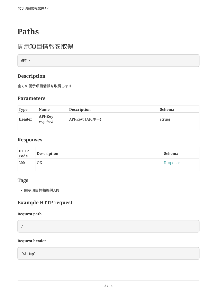# **Paths**

### 開示項目情報を取得

GET /

### **Description**

全ての開示項目情報を取得します

### **Parameters**

| <b>Type</b>   | Name                       | <b>Description</b>      | <b>Schema</b> |
|---------------|----------------------------|-------------------------|---------------|
| <b>Header</b> | <b>API-Key</b><br>required | API-Key: ${API \neq -}$ | string        |

### **Responses**

| HTTP<br>Code | <b>Description</b> | <b>Schema</b> |
|--------------|--------------------|---------------|
| 200          | 0K                 | Response      |

#### **Tags**

• 開示項目情報提供API

### **Example HTTP request**

#### **Request path**

/

#### **Request header**

"string"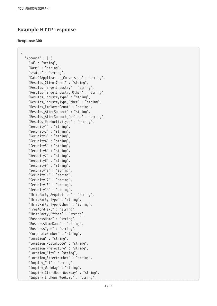### **Example HTTP response**

#### **Response 200**

```
{
    "Account" : [ {
      "Id" : "string",
      "Name" : "string",
      "status" : "string",
      "DateOfApplication_Conversion" : "string",
      "Results_ClientCount" : "string",
      "Results_TargetIndustry" : "string",
      "Results_TargetIndustry_Other" : "string",
      "Results_IndustryType" : "string",
      "Results_IndustryType_Other" : "string",
      "Results_EmployeeCount" : "string",
      "Results_AfterSupport" : "string",
      "Results_AfterSupport_Outline" : "string",
      "Results_ProductivityUp" : "string",
      "Security1" : "string",
      "Security2" : "string",
      "Security3" : "string",
      "Security4" : "string",
      "Security5" : "string",
      "Security6" : "string",
      "Security7" : "string",
      "Security8" : "string",
      "Security9" : "string",
      "Security10" : "string",
      "Security11" : "string",
      "Security12" : "string",
      "Security13" : "string",
      "Security14" : "string",
      "ThirdParty_Acquisition" : "string",
      "ThirdParty_Type" : "string",
      "ThirdParty_Type_Other" : "string",
      "FreeWordText" : "string",
      "ThirdParty_Effort" : "string",
      "BusinessName" : "string",
      "BusinessNameKana" : "string",
      "BusinessType" : "string",
      "CorporateNumber" : "string",
      "Location" : "string",
      "Location_PostalCode" : "string",
      "Location_Prefecture" : "string",
      "Location_City" : "string",
      "Location_StreetNumber" : "string",
      "Inquiry_Tel" : "string",
      "Inquiry_Weekday" : "string",
      "Inquiry_StartHour_Weekday" : "string",
      "Inquiry_EndHour_Weekday" : "string",
```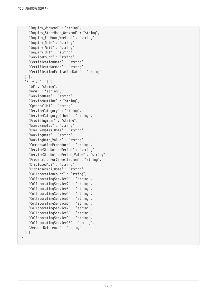```
  "Inquiry_Weekend" : "string",
      "Inquiry_StartHour_Weekend" : "string",
      "Inquiry_EndHour_Weekend" : "string",
      "Inquiry_Note" : "string",
      "Inquiry_Mail" : "string",
      "Inquiry_Url" : "string",
      "ServiceCount" : "string",
      "CertificationDate" : "string",
  "CertificateNumber" : "string",
  "CertificationExpirationDate" : "string"
    } ],
    "Service" : [ {
      "Id" : "string",
      "Name" : "string",
      "ServiceName" : "string",
      "ServiceOutline" : "string",
      "OptionalUrl" : "string",
      "ServiceCategory" : "string",
      "ServiceCategory_Other" : "string",
      "ProvidingYear" : "string",
      "UserExamples" : "string",
      "UserExamples_Note" : "string",
      "WorkingRate" : "string",
      "WorkingRate_Value" : "string",
      "CompensationProcedure" : "string",
      "ServiceStopNoticePeriod" : "string",
      "ServiceStopNoticePeriod_Value" : "string",
      "PreparationForCancellation" : "string",
      "DisclosedApi" : "string",
      "DisclosedApi_Note" : "string",
      "CollaborationCount" : "string",
      "CollaboratingService1" : "string",
      "CollaboratingService2" : "string",
      "CollaboratingService3" : "string",
      "CollaboratingService4" : "string",
      "CollaboratingService5" : "string",
      "CollaboratingService6" : "string",
      "CollaboratingService7" : "string",
      "CollaboratingService8" : "string",
      "CollaboratingService9" : "string",
      "CollaboratingService10" : "string",
      "AccountReference" : "string"
    } ]
}
```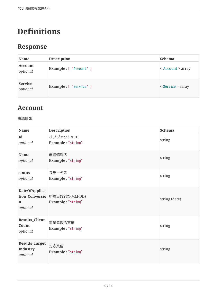# **Definitions**

## <span id="page-6-0"></span>**Response**

| <b>Name</b>                | <b>Description</b>            | <b>Schema</b>     |
|----------------------------|-------------------------------|-------------------|
| <b>Account</b><br>optional | <b>Example:</b> [ "Account" ] | < Account > array |
| <b>Service</b><br>optional | Example: [ "Service" ]        | < Service > array |

## <span id="page-6-1"></span>**Account**

#### 申請情報

| Name                                          | <b>Description</b>                                  | <b>Schema</b> |
|-----------------------------------------------|-----------------------------------------------------|---------------|
| Id<br>optional                                | オブジェクトのID<br>Example: "string"                      | string        |
| Name<br>optional                              | 申請情報名<br>Example: "string"                          | string        |
| status<br>optional                            | ステータス<br>Example: "string"                          | string        |
| <b>DateOfApplica</b><br>n<br>optional         | tion_Conversio 申請日(YYYY-MM-DD)<br>Example: "string" | string (date) |
| <b>Results_Client</b><br>Count<br>optional    | 事業者数の実績<br>Example: "string"                        | string        |
| <b>Results_Target</b><br>Industry<br>optional | 対応業種<br>Example: "string"                           | string        |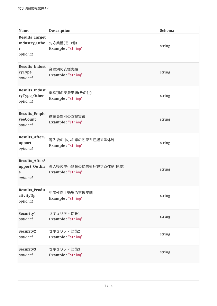| <b>Name</b>                                             | <b>Description</b>                          | <b>Schema</b> |
|---------------------------------------------------------|---------------------------------------------|---------------|
| <b>Results_Target</b><br>Industry_Othe<br>r<br>optional | 対応業種(その他)<br>Example: "string"              | string        |
| <b>Results_Indust</b><br>ryType<br>optional             | 業種別の支援実績<br>Example: "string"               | string        |
| <b>Results_Indust</b><br>ryType_Other<br>optional       | 業種別の支援実績(その他)<br>Example: "string"          | string        |
| <b>Results_Emplo</b><br>yeeCount<br>optional            | 従業員数別の支援実績<br>Example: "string"             | string        |
| <b>Results_AfterS</b><br>upport<br>optional             | 導入後の中小企業の効果を把握する体制<br>Example: "string"     | string        |
| <b>Results_AfterS</b><br>upport_Outlin<br>e<br>optional | 導入後の中小企業の効果を把握する体制(概要)<br>Example: "string" | string        |
| Results_Produ<br>ctivityUp<br>optional                  | 生産性向上効果の支援実績<br>Example: "string"           | string        |
| Security1<br>optional                                   | セキュリティ対策1<br>Example: "string"              | string        |
| Security2<br>optional                                   | セキュリティ対策2<br>Example: "string"              | string        |
| Security3<br>optional                                   | セキュリティ対策3<br>Example: "string"              | string        |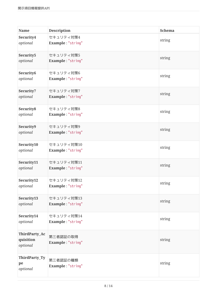| <b>Name</b>                            | <b>Description</b>              | Schema |
|----------------------------------------|---------------------------------|--------|
| Security4<br>optional                  | セキュリティ対策4<br>Example: "string"  | string |
| Security5<br>optional                  | セキュリティ対策5<br>Example: "string"  | string |
| Security6<br>optional                  | セキュリティ対策6<br>Example: "string"  | string |
| Security7<br>optional                  | セキュリティ対策7<br>Example: "string"  | string |
| Security8<br>optional                  | セキュリティ対策8<br>Example: "string"  | string |
| Security9<br>optional                  | セキュリティ対策9<br>Example: "string"  | string |
| Security10<br>optional                 | セキュリティ対策10<br>Example: "string" | string |
| Security11<br>optional                 | セキュリティ対策11<br>Example: "string" | string |
| Security12<br>optional                 | セキュリティ対策12<br>Example: "string" | string |
| Security13<br>optional                 | セキュリティ対策13<br>Example: "string" | string |
| Security14<br>optional                 | セキュリティ対策14<br>Example: "string" | string |
| ThirdParty_Ac<br>quisition<br>optional | 第三者認証の取得<br>Example: "string"   | string |
| ThirdParty_Ty<br>pe<br>optional        | 第三者認証の種類<br>Example: "string"   | string |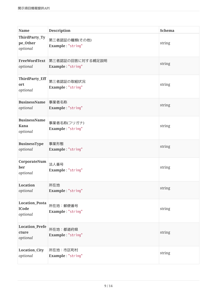| <b>Name</b>                                       | <b>Description</b>                    | <b>Schema</b> |
|---------------------------------------------------|---------------------------------------|---------------|
| ThirdParty_Ty<br>pe_Other<br>optional             | 第三者認証の種類(その他)<br>Example: "string"    | string        |
| FreeWordText<br>optional                          | 第三者認証の回答に対する補足説明<br>Example: "string" | string        |
| ThirdParty_Eff<br>ort<br>optional                 | 第三者認証の取組状況<br>Example: "string"       | string        |
| <b>BusinessName</b><br>optional                   | 事業者名称<br>Example: "string"            | string        |
| <b>BusinessName</b><br><b>Kana</b><br>optional    | 事業者名称(フリガナ)<br>Example: "string"      | string        |
| <b>BusinessType</b><br>optional                   | 事業形態<br>Example: "string"             | string        |
| CorporateNum<br>ber<br>optional                   | 法人番号<br>Example: "string"             | string        |
| <b>Location</b><br>optional                       | 所在地<br>Example: "string"              | string        |
| <b>Location_Posta</b><br><b>lCode</b><br>optional | 所在地:郵便番号<br>Example: "string"         | string        |
| <b>Location_Prefe</b><br>cture<br>optional        | 所在地:都道府県<br>Example: "string"         | string        |
| <b>Location_City</b><br>optional                  | 所在地:市区町村<br>Example: "string"         | string        |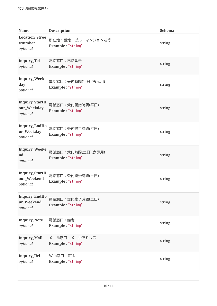| <b>Name</b>                                      | <b>Description</b>                      | <b>Schema</b> |
|--------------------------------------------------|-----------------------------------------|---------------|
| <b>Location_Stree</b><br>tNumber<br>optional     | 所在地:番地·ビル·マンション名等<br>Example: "string"  | string        |
| Inquiry_Tel<br>optional                          | 電話窓口:電話番号<br>Example: "string"          | string        |
| <b>Inquiry_Week</b><br>day<br>optional           | 電話窓口:受付時間(平日)(表示用)<br>Example: "string" | string        |
| <b>Inquiry_StartH</b><br>our_Weekday<br>optional | 電話窓口:受付開始時間(平日)<br>Example: "string"    | string        |
| Inquiry_EndHo<br>ur_Weekday<br>optional          | 電話窓口:受付終了時間(平日)<br>Example: "string"    | string        |
| <b>Inquiry_Weeke</b><br>nd<br>optional           | 電話窓口:受付時間(土日)(表示用)<br>Example: "string" | string        |
| <b>Inquiry_StartH</b><br>our Weekend<br>optional | 電話窓口:受付開始時間(土日)<br>Example: "string"    | string        |
| Inquiry_EndHo<br>ur_Weekend<br>optional          | 電話窓口:受付終了時間(土日)<br>Example: "string"    | string        |
| <b>Inquiry_Note</b><br>optional                  | 電話窓口:備考<br>Example: "string"            | string        |
| Inquiry_Mail<br>optional                         | メール窓口:メールアドレス<br>Example: "string"      | string        |
| Inquiry_Url<br>optional                          | Web窓口: URL<br>Example: "string"         | string        |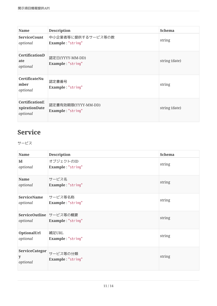| <b>Name</b>                                        | <b>Description</b>                       | <b>Schema</b> |
|----------------------------------------------------|------------------------------------------|---------------|
| <b>ServiceCount</b><br>optional                    | 中小企業者等に提供するサービス等の数<br>Example: "string"  | string        |
| CertificationD<br>ate<br>optional                  | 認定日(YYYY-MM-DD)<br>Example: "string"     | string (date) |
| CertificateNu<br>mber<br>optional                  | 認定書番号<br>Example: "string"               | string        |
| <b>CertificationE</b><br>xpirationDate<br>optional | 認定書有効期限(YYYY-MM-DD)<br>Example: "string" | string (date) |

## <span id="page-11-0"></span>**Service**

サービス

| Name                                   | <b>Description</b>                           | <b>Schema</b> |
|----------------------------------------|----------------------------------------------|---------------|
| Id<br>optional                         | オブジェクトのID<br>Example: "string"               | string        |
| <b>Name</b><br>optional                | サービス名<br>Example: "string"                   | string        |
| <b>ServiceName</b><br>optional         | サービス等名称<br>Example: "string"                 | string        |
| optional                               | ServiceOutline サービス等の概要<br>Example: "string" | string        |
| OptionalUrl<br>optional                | 補足URL<br>Example: "string"                   | string        |
| <b>ServiceCategor</b><br>y<br>optional | サービス等の分類<br>Example: "string"                | string        |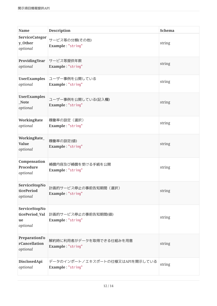| <b>Name</b>                                       | <b>Description</b>                                   | <b>Schema</b> |
|---------------------------------------------------|------------------------------------------------------|---------------|
| ServiceCategor<br>y_Other<br>optional             | サービス等の分類(その他)<br>Example: "string"                   | string        |
| ProvidingYear<br>optional                         | サービス等提供年数<br>Example: "string"                       | string        |
| <b>UserExamples</b><br>optional                   | ユーザー事例を公開している<br>Example: "string"                   | string        |
| <b>UserExamples</b><br>Note<br>optional           | ユーザー事例を公開している(記入欄)<br>Example: "string"              | string        |
| <b>WorkingRate</b><br>optional                    | 稼働率の設定(選択)<br>Example: "string"                      | string        |
| WorkingRate_<br><b>Value</b><br>optional          | 稼働率の設定(値)<br>Example: "string"                       | string        |
| Compensation<br><b>Procedure</b><br>optional      | 補償内容及び補償を受ける手続を公開<br>Example: "string"               | string        |
| ServiceStopNo<br>ticePeriod<br>optional           | 計画的サービス停止の事前告知期間(選択)<br>Example: "string"            | string        |
| ServiceStopNo<br>ticePeriod_Val<br>ue<br>optional | 計画的サービス停止の事前告知期間(値)<br>Example: "string"             | string        |
| PreparationFo<br>rCancellation<br>optional        | 解約時に利用者がデータを取得できる仕組みを用意<br>Example: "string"         | string        |
| DisclosedApi<br>optional                          | データのインポート/エキスポートの仕様又はAPIを開示している<br>Example: "string" | string        |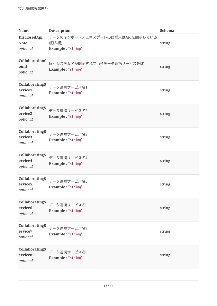| <b>Name</b>                                              | <b>Description</b>                                            | <b>Schema</b> |
|----------------------------------------------------------|---------------------------------------------------------------|---------------|
| DisclosedApi_<br><b>Note</b><br>optional                 | データのインポート/エキスポートの仕様又はAPIを開示している<br>(記入欄)<br>Example: "string" | string        |
| CollaborationC<br>ount<br>optional                       | 個別システム名が開示されているデータ連携サービス等数<br>Example: "string"               | string        |
| <b>CollaboratingS</b><br>ervice1<br>optional             | データ連携サービス名1<br>Example: "string"                              | string        |
| <b>CollaboratingS</b><br>ervice2<br>optional             | データ連携サービス名2<br>Example: "string"                              | string        |
| <b>CollaboratingS</b><br>ervice <sub>3</sub><br>optional | データ連携サービス名3<br>Example: "string"                              | string        |
| <b>CollaboratingS</b><br>ervice4<br>optional             | データ連携サービス名4<br>Example: "string"                              | string        |
| <b>CollaboratingS</b><br>ervice <sub>5</sub><br>optional | データ連携サービス名5<br>Example: "string"                              | string        |
| <b>CollaboratingS</b><br>ervice <sub>6</sub><br>optional | データ連携サービス名6<br>Example: "string"                              | string        |
| <b>CollaboratingS</b><br>ervice7<br>optional             | データ連携サービス名7<br>Example: "string"                              | string        |
| <b>CollaboratingS</b><br>ervice8<br>optional             | データ連携サービス名8<br>Example: "string"                              | string        |